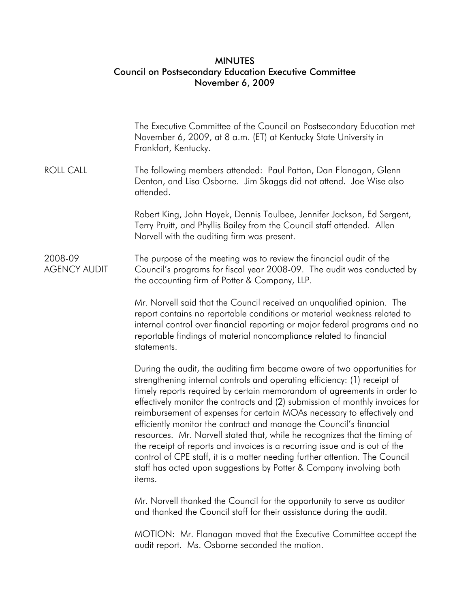## **MINUTES** Council on Postsecondary Education Executive Committee November 6, 2009

|                                | The Executive Committee of the Council on Postsecondary Education met<br>November 6, 2009, at 8 a.m. (ET) at Kentucky State University in<br>Frankfort, Kentucky.                                                                                                                                                                                                                                                                                                                                                                                                                                                                                                                                                                                                                              |
|--------------------------------|------------------------------------------------------------------------------------------------------------------------------------------------------------------------------------------------------------------------------------------------------------------------------------------------------------------------------------------------------------------------------------------------------------------------------------------------------------------------------------------------------------------------------------------------------------------------------------------------------------------------------------------------------------------------------------------------------------------------------------------------------------------------------------------------|
| ROLL CALL                      | The following members attended: Paul Patton, Dan Flanagan, Glenn<br>Denton, and Lisa Osborne. Jim Skaggs did not attend. Joe Wise also<br>attended.                                                                                                                                                                                                                                                                                                                                                                                                                                                                                                                                                                                                                                            |
|                                | Robert King, John Hayek, Dennis Taulbee, Jennifer Jackson, Ed Sergent,<br>Terry Pruitt, and Phyllis Bailey from the Council staff attended. Allen<br>Norvell with the auditing firm was present.                                                                                                                                                                                                                                                                                                                                                                                                                                                                                                                                                                                               |
| 2008-09<br><b>AGENCY AUDIT</b> | The purpose of the meeting was to review the financial audit of the<br>Council's programs for fiscal year 2008-09. The audit was conducted by<br>the accounting firm of Potter & Company, LLP.                                                                                                                                                                                                                                                                                                                                                                                                                                                                                                                                                                                                 |
|                                | Mr. Norvell said that the Council received an unqualified opinion. The<br>report contains no reportable conditions or material weakness related to<br>internal control over financial reporting or major federal programs and no<br>reportable findings of material noncompliance related to financial<br>statements.                                                                                                                                                                                                                                                                                                                                                                                                                                                                          |
|                                | During the audit, the auditing firm became aware of two opportunities for<br>strengthening internal controls and operating efficiency: (1) receipt of<br>timely reports required by certain memorandum of agreements in order to<br>effectively monitor the contracts and (2) submission of monthly invoices for<br>reimbursement of expenses for certain MOAs necessary to effectively and<br>efficiently monitor the contract and manage the Council's financial<br>resources. Mr. Norvell stated that, while he recognizes that the timing of<br>the receipt of reports and invoices is a recurring issue and is out of the<br>control of CPE staff, it is a matter needing further attention. The Council<br>staff has acted upon suggestions by Potter & Company involving both<br>items. |
|                                | Mr. Norvell thanked the Council for the opportunity to serve as auditor<br>and thanked the Council staff for their assistance during the audit.                                                                                                                                                                                                                                                                                                                                                                                                                                                                                                                                                                                                                                                |

 MOTION: Mr. Flanagan moved that the Executive Committee accept the audit report. Ms. Osborne seconded the motion.